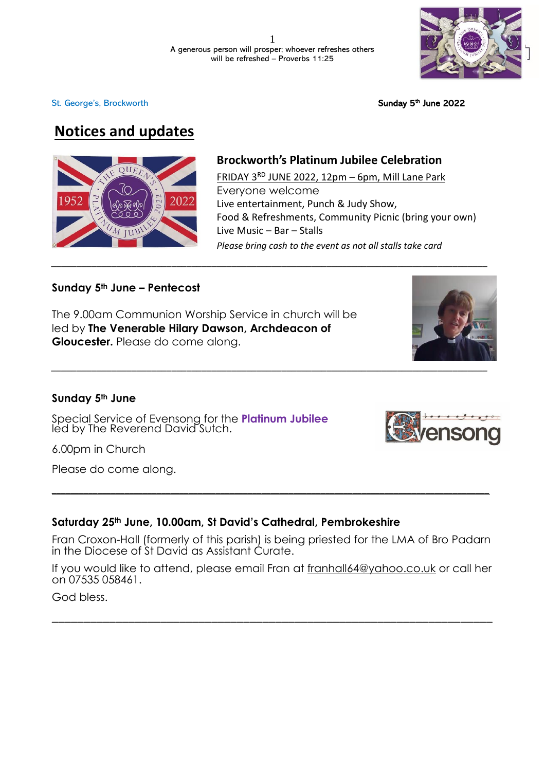*\_\_\_\_\_\_\_\_\_\_\_\_\_\_\_\_\_\_\_\_\_\_\_\_\_\_\_\_\_\_\_\_\_\_\_\_\_\_\_\_\_\_\_\_\_\_\_\_\_\_\_\_\_\_\_\_\_\_\_\_\_\_\_\_\_\_\_\_\_\_\_\_\_\_\_\_\_\_\_\_\_\_\_\_\_\_\_*



<sup>th</sup> June 2022

# **Notices and updates**

St. George's, [Brockworth](http://www.stgeorgebrockworth.uk/)



# **Brockworth's Platinum Jubilee Celebration**

FRIDAY  $3^{RD}$  JUNE 2022, 12pm – 6pm, Mill Lane Park Everyone welcome Live entertainment, Punch & Judy Show, Food & Refreshments, Community Picnic (bring your own) Live Music – Bar – Stalls *Please bring cash to the event as not all stalls take card*

## **Sunday 5th June – Pentecost**

The 9.00am Communion Worship Service in church will be led by **The Venerable Hilary Dawson, Archdeacon of Gloucester.** Please do come along.



## **Sunday 5th June**

Special Service of Evensong for the **Platinum Jubilee** led by The Reverend David Sutch.

6.00pm in Church

Please do come along.

# **Saturday 25th June, 10.00am, St David's Cathedral, Pembrokeshire**

Fran Croxon-Hall (formerly of this parish) is being priested for the LMA of Bro Padarn in the Diocese of St David as Assistant Curate.

**\_\_\_\_\_\_\_\_\_\_\_\_\_\_\_\_\_\_\_\_\_\_\_\_\_\_\_\_\_\_\_\_\_\_\_\_\_\_\_\_\_\_\_\_\_\_\_\_\_\_\_\_\_\_\_\_\_\_\_\_\_\_\_\_\_\_\_\_\_\_\_\_\_\_\_\_\_\_\_\_\_\_\_\_\_\_\_\_\_\_\_\_\_\_\_\_**

If you would like to attend, please email Fran at [franhall64@yahoo.co.uk](mailto:franhall64@yahoo.co.uk) or call her on 07535 058461.

\_\_\_\_\_\_\_\_\_\_\_\_\_\_\_\_\_\_\_\_\_\_\_\_\_\_\_\_\_\_\_\_\_\_\_\_\_\_\_\_\_\_\_\_\_\_\_\_\_\_\_\_\_\_\_\_\_\_\_\_\_\_\_\_\_\_\_\_\_

God bless.



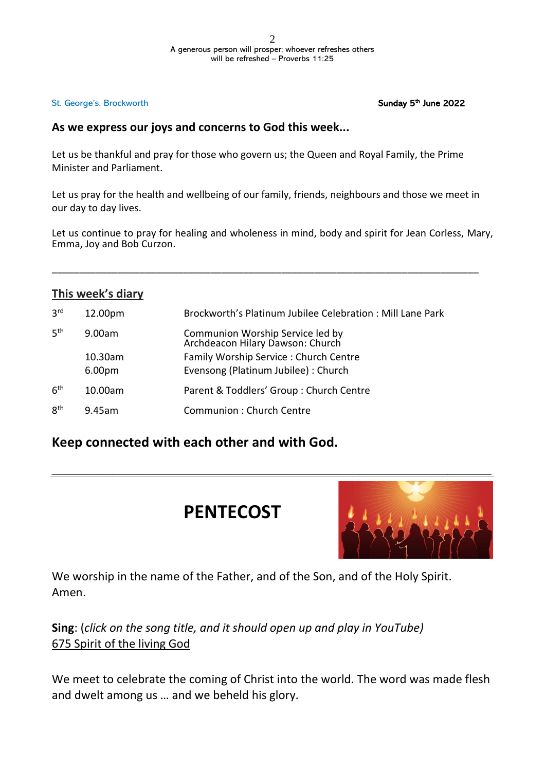### <sup>th</sup> June 2022

## **As we express our joys and concerns to God this week...**

Let us be thankful and pray for those who govern us; the Queen and Royal Family, the Prime Minister and Parliament.

Let us pray for the health and wellbeing of our family, friends, neighbours and those we meet in our day to day lives.

Let us continue to pray for healing and wholeness in mind, body and spirit for Jean Corless, Mary, Emma, Joy and Bob Curzon.

\_\_\_\_\_\_\_\_\_\_\_\_\_\_\_\_\_\_\_\_\_\_\_\_\_\_\_\_\_\_\_\_\_\_\_\_\_\_\_\_\_\_\_\_\_\_\_\_\_\_\_\_\_\_\_\_\_\_\_\_\_\_\_\_\_\_\_\_\_\_\_\_\_\_\_\_\_\_

| This week's diary |                    |                                                                      |
|-------------------|--------------------|----------------------------------------------------------------------|
| 3 <sup>rd</sup>   | 12.00pm            | Brockworth's Platinum Jubilee Celebration: Mill Lane Park            |
| 5 <sup>th</sup>   | 9.00am             | Communion Worship Service led by<br>Archdeacon Hilary Dawson: Church |
|                   | 10.30am            | Family Worship Service: Church Centre                                |
|                   | 6.00 <sub>pm</sub> | Evensong (Platinum Jubilee) : Church                                 |
| 6 <sup>th</sup>   | 10.00am            | Parent & Toddlers' Group: Church Centre                              |
| 8 <sup>th</sup>   | 9.45am             | <b>Communion: Church Centre</b>                                      |

# **Keep connected with each other and with God.**

# **PENTECOST**



We worship in the name of the Father, and of the Son, and of the Holy Spirit. Amen.

**Sing**: (*click on the song title, and it should open up and play in YouTube)* 675 [Spirit](https://www.youtube.com/watch?v=JYfzcYohWZ) of the living God

We meet to celebrate the coming of Christ into the world. The word was made flesh and dwelt among us … and we beheld his glory.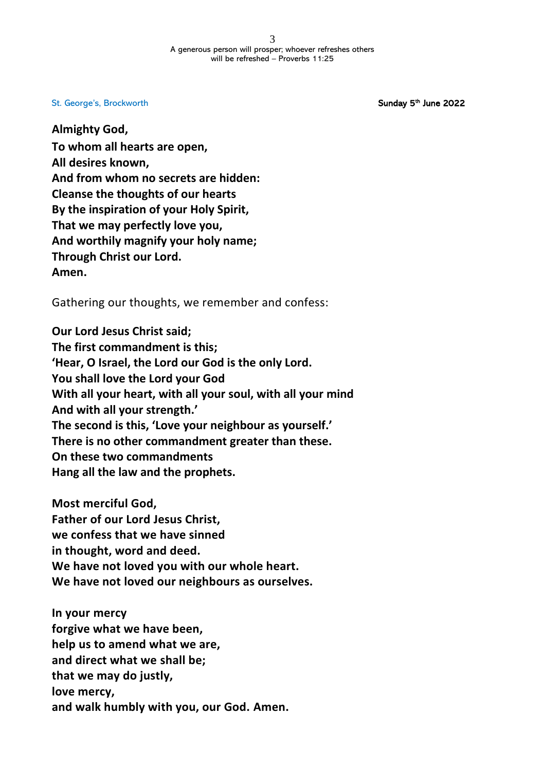<sup>th</sup> June 2022

**Almighty God, To whom all hearts are open, All desires known, And from whom no secrets are hidden: Cleanse the thoughts of our hearts By the inspiration of your Holy Spirit, That we may perfectly love you, And worthily magnify your holy name; Through Christ our Lord. Amen.**

Gathering our thoughts, we remember and confess:

**Our Lord Jesus Christ said; The first commandment is this; 'Hear, O Israel, the Lord our God is the only Lord. You shall love the Lord your God With all your heart, with all your soul, with all your mind And with all your strength.' The second is this, 'Love your neighbour as yourself.' There is no other commandment greater than these. On these two commandments Hang all the law and the prophets.**

**Most merciful God, Father of our Lord Jesus Christ, we confess that we have sinned in thought, word and deed. We have not loved you with our whole heart. We have not loved our neighbours as ourselves.**

**In your mercy forgive what we have been, help us to amend what we are, and direct what we shall be; that we may do justly, love mercy, and walk humbly with you, our God. Amen.**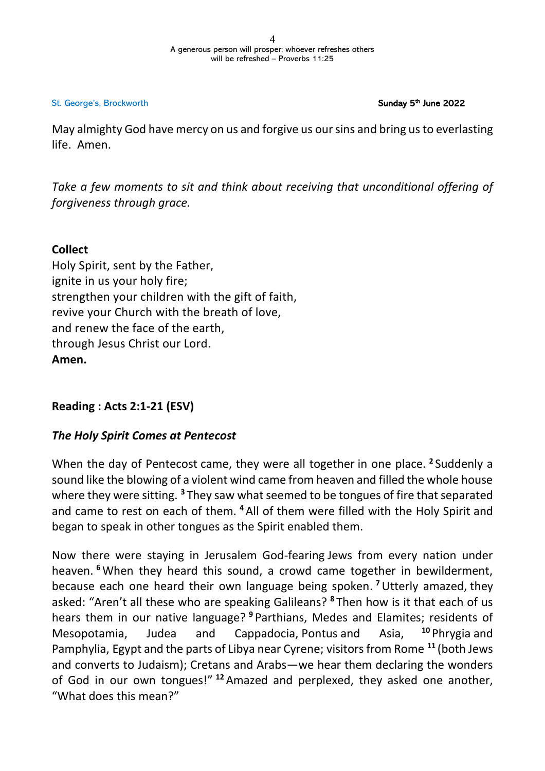#### <sup>th</sup> June 2022

May almighty God have mercy on us and forgive us oursins and bring usto everlasting life. Amen.

*Take a few moments to sit and think about receiving that unconditional offering of forgiveness through grace.*

## **Collect**

Holy Spirit, sent by the Father, ignite in us your holy fire; strengthen your children with the gift of faith, revive your Church with the breath of love, and renew the face of the earth, through Jesus Christ our Lord. **Amen.**

# **Reading : Acts 2:1-21 (ESV)**

# *The Holy Spirit Comes at Pentecost*

When the day of Pentecost came, they were all together in one place. **<sup>2</sup>** Suddenly a sound like the blowing of a violent wind came from heaven and filled the whole house where they were sitting. **<sup>3</sup>** They saw what seemed to be tongues of fire that separated and came to rest on each of them. **<sup>4</sup>** All of them were filled with the Holy Spirit and began to speak in other tongues as the Spirit enabled them.

Now there were staying in Jerusalem God-fearing Jews from every nation under heaven. **<sup>6</sup>**When they heard this sound, a crowd came together in bewilderment, because each one heard their own language being spoken. **<sup>7</sup>**Utterly amazed, they asked: "Aren't all these who are speaking Galileans? **<sup>8</sup>** Then how is it that each of us hears them in our native language? **<sup>9</sup>** Parthians, Medes and Elamites; residents of Mesopotamia, Judea and Cappadocia, Pontus and Asia, **<sup>10</sup>** Phrygia and Pamphylia, Egypt and the parts of Libya near Cyrene; visitors from Rome **<sup>11</sup>** (both Jews and converts to Judaism); Cretans and Arabs—we hear them declaring the wonders of God in our own tongues!" **<sup>12</sup>** Amazed and perplexed, they asked one another, "What does this mean?"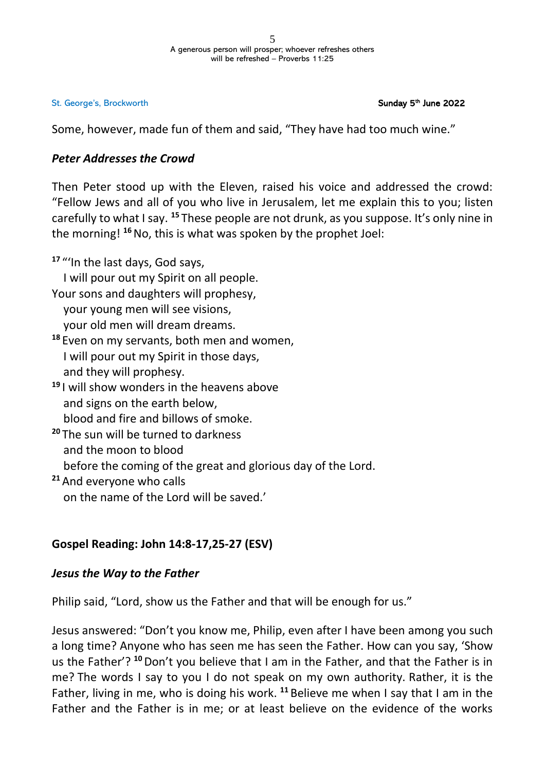#### <sup>th</sup> June 2022

Some, however, made fun of them and said, "They have had too much wine."

## *Peter Addresses the Crowd*

Then Peter stood up with the Eleven, raised his voice and addressed the crowd: "Fellow Jews and all of you who live in Jerusalem, let me explain this to you; listen carefully to what I say. **<sup>15</sup>** These people are not drunk, as you suppose. It's only nine in the morning! **<sup>16</sup>**No, this is what was spoken by the prophet Joel:

**<sup>17</sup>** "'In the last days, God says, I will pour out my Spirit on all people. Your sons and daughters will prophesy, your young men will see visions, your old men will dream dreams. **<sup>18</sup>** Even on my servants, both men and women, I will pour out my Spirit in those days, and they will prophesy. **<sup>19</sup>** I will show wonders in the heavens above and signs on the earth below, blood and fire and billows of smoke. **<sup>20</sup>** The sun will be turned to darkness and the moon to blood before the coming of the great and glorious day of the Lord. **<sup>21</sup>** And everyone who calls

on the name of the Lord will be saved.'

# **Gospel Reading: John 14:8-17,25-27 (ESV)**

## *Jesus the Way to the Father*

Philip said, "Lord, show us the Father and that will be enough for us."

Jesus answered: "Don't you know me, Philip, even after I have been among you such a long time? Anyone who has seen me has seen the Father. How can you say, 'Show us the Father'? **<sup>10</sup>**Don't you believe that I am in the Father, and that the Father is in me? The words I say to you I do not speak on my own authority. Rather, it is the Father, living in me, who is doing his work. **<sup>11</sup>** Believe me when I say that I am in the Father and the Father is in me; or at least believe on the evidence of the works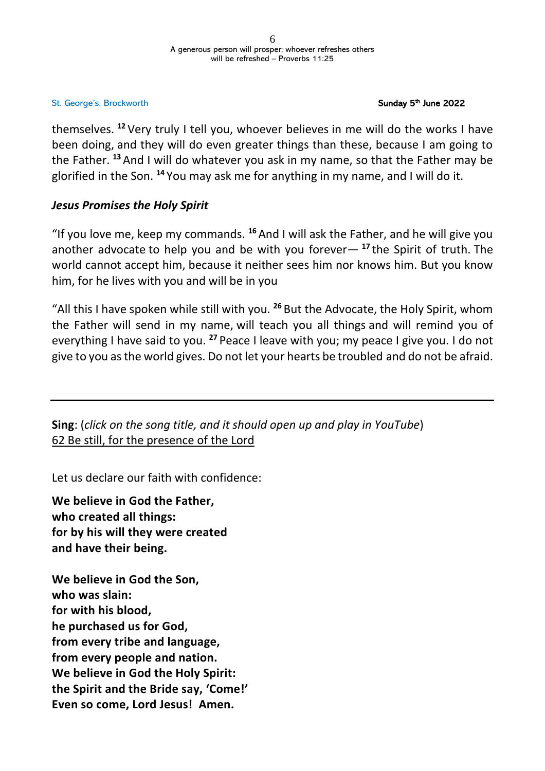### <sup>th</sup> June 2022

themselves. **<sup>12</sup>** Very truly I tell you, whoever believes in me will do the works I have been doing, and they will do even greater things than these, because I am going to the Father. **<sup>13</sup>** And I will do whatever you ask in my name, so that the Father may be glorified in the Son. **<sup>14</sup>** You may ask me for anything in my name, and I will do it.

## *Jesus Promises the Holy Spirit*

"If you love me, keep my commands. **<sup>16</sup>** And I will ask the Father, and he will give you another advocate to help you and be with you forever— **<sup>17</sup>** the Spirit of truth. The world cannot accept him, because it neither sees him nor knows him. But you know him, for he lives with you and will be in you

"All this I have spoken while still with you. **<sup>26</sup>** But the Advocate, the Holy Spirit, whom the Father will send in my name, will teach you all things and will remind you of everything I have said to you. **<sup>27</sup>** Peace I leave with you; my peace I give you. I do not give to you as the world gives. Do not let your hearts be troubled and do not be afraid.

**Sing**: (*click on the song title, and it should open up and play in YouTube*) 62 Be still, for the [presence](https://www.bing.com/videos/search?q=be+still+for+the+presence+of+the+lord+youtube&docid=608046384467878425&mid=9292ED6E4CD2BA6585789292ED6E4CD2BA658578&view=detail&FORM=VIRE) of the Lord

Let us declare our faith with confidence:

**We believe in God the Father, who created all things: for by his will they were created and have their being.**

**We believe in God the Son, who was slain: for with his blood, he purchased us for God, from every tribe and language, from every people and nation. We believe in God the Holy Spirit: the Spirit and the Bride say, 'Come!' Even so come, Lord Jesus! Amen.**